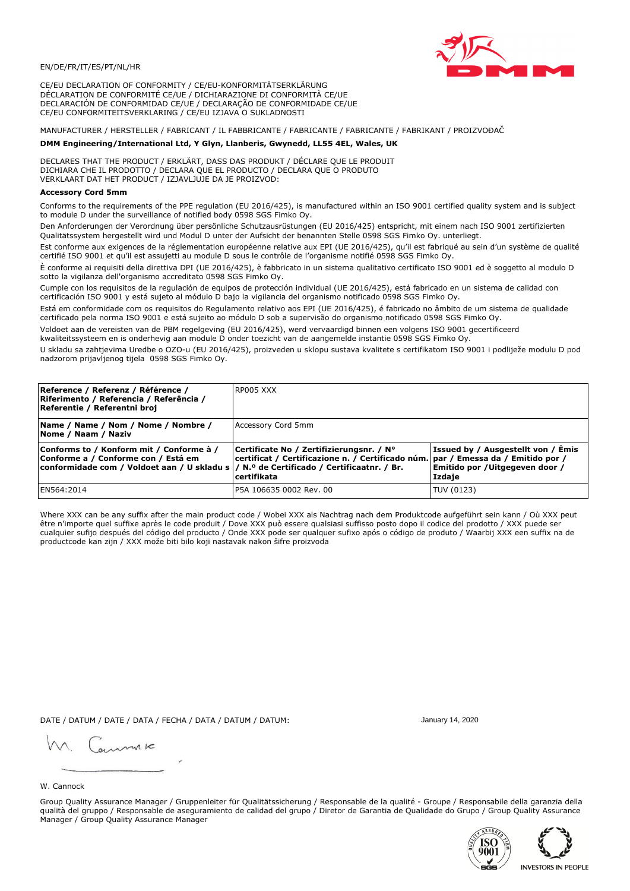

CE/EU DECLARATION OF CONFORMITY / CE/EU-KONFORMITÄTSERKLÄRUNG DÉCLARATION DE CONFORMITÉ CE/UE / DICHIARAZIONE DI CONFORMITÀ CE/UE DECLARACIÓN DE CONFORMIDAD CE/UE / DECLARAÇÃO DE CONFORMIDADE CE/UE CE/EU CONFORMITEITSVERKLARING / CE/EU IZJAVA O SUKLADNOSTI

# MANUFACTURER / HERSTELLER / FABRICANT / IL FABBRICANTE / FABRICANTE / FABRICANTE / FABRIKANT / PROIZVOĐAČ

### DMM Engineering/International Ltd, Y Glyn, Llanberis, Gwynedd, LL55 4EL, Wales, UK

DECLARES THAT THE PRODUCT / ERKLÄRT, DASS DAS PRODUKT / DÉCLARE QUE LE PRODUIT<br>DICHIARA CHE IL PRODOTTO / DECLARA QUE EL PRODUCTO / DECLARA QUE O PRODUTO VERKLAART DAT HET PRODUCT / IZJAVLJUJE DA JE PROIZVOD:

### **Accessory Cord 5mm**

Conforms to the requirements of the PPE regulation (EU 2016/425), is manufactured within an ISO 9001 certified quality system and is subject to module D under the surveillance of notified body 0598 SGS Fimko Oy.

Den Anforderungen der Verordnung über persönliche Schutzausrüstungen (EU 2016/425) entspricht, mit einem nach ISO 9001 zertifizierten Oualitätssystem hergestellt wird und Modul D unter der Aufsicht der benannten Stelle 0598 SGS Fimko Oy. unterliegt.

Est conforme aux exigences de la réglementation européenne relative aux EPI (UE 2016/425), qu'il est fabriqué au sein d'un système de qualité certifié ISO 9001 et qu'il est assujetti au module D sous le contrôle de l'organisme notifié 0598 SGS Fimko Oy.

È conforme ai requisiti della direttiva DPI (UE 2016/425), è fabbricato in un sistema qualitativo certificato ISO 9001 ed è soggetto al modulo D sotto la vigilanza dell'organismo accreditato 0598 SGS Fimko Oy.

Cumple con los requisitos de la regulación de equipos de protección individual (UE 2016/425), está fabricado en un sistema de calidad con certificación ISO 9001 y está sujeto al módulo D bajo la vigilancia del organismo notificado 0598 SGS Fimko Oy.

Está em conformidade com os requisitos do Regulamento relativo aos EPI (UE 2016/425), é fabricado no âmbito de um sistema de qualidade certificado pela norma ISO 9001 e está sujeito ao módulo D sob a supervisão do organismo notificado 0598 SGS Fimko Oy.

Voldoet aan de vereisten van de PBM regelgeving (EU 2016/425), werd vervaardigd binnen een volgens ISO 9001 gecertificeerd kwaliteitssysteem en is onderhevig aan module D onder toezicht van de aangemelde instantie 0598 SGS Fimko Oy.

U skladu sa zahtjevima Uredbe o OZO-u (EU 2016/425), proizveden u sklopu sustava kvalitete s certifikatom ISO 9001 i podliježe modulu D pod nadzorom prijavljenog tijela 0598 SGS Fimko Oy.

| Reference / Referenz / Référence /<br>Riferimento / Referencia / Referência /<br>Referentie / Referentni broj                                                               | RP005 XXX                                                                                                                                    |                                                                                 |
|-----------------------------------------------------------------------------------------------------------------------------------------------------------------------------|----------------------------------------------------------------------------------------------------------------------------------------------|---------------------------------------------------------------------------------|
| Name / Name / Nom / Nome / Nombre /<br>Nome / Naam / Naziv                                                                                                                  | Accessory Cord 5mm                                                                                                                           |                                                                                 |
| Conforms to / Konform mit / Conforme à /<br>Conforme a / Conforme con / Está em<br>conformidade com / Voldoet aan / U skladu s  / N.º de Certificado / Certificaatnr. / Br. | Certificate No / Zertifizierungsnr. / N°<br>certificat / Certificazione n. / Certificado núm. par / Emessa da / Emitido por /<br>certifikata | Issued by / Ausgestellt von / Émis<br>Emitido por / Uitgegeven door /<br>Izdaje |
| EN564:2014                                                                                                                                                                  | P5A 106635 0002 Rev. 00                                                                                                                      | TUV (0123)                                                                      |

Where XXX can be any suffix after the main product code / Wobei XXX als Nachtrag nach dem Produktcode aufgeführt sein kann / Où XXX peut être n'importe quel suffixe après le code produit / Dove XXX può essere qualsiasi suffisso posto dopo il codice del prodotto / XXX puede ser<br>cualquier sufijo después del código del producto / Onde XXX pode ser qualquer suf productcode kan zijn / XXX može biti bilo koji nastavak nakon šifre proizvoda

DATE / DATUM / DATE / DATA / FECHA / DATA / DATUM / DATUM:

gimmic

January 14, 2020





W. Cannock

Group Quality Assurance Manager / Gruppenleiter für Qualitätssicherung / Responsable de la qualité - Groupe / Responsabile della garanzia della qualità del gruppo / Responsable de aseguramiento de calidad del grupo / Diretor de Garantia de Qualidade do Grupo / Group Quality Assurance Manager / Group Quality Assurance Manager

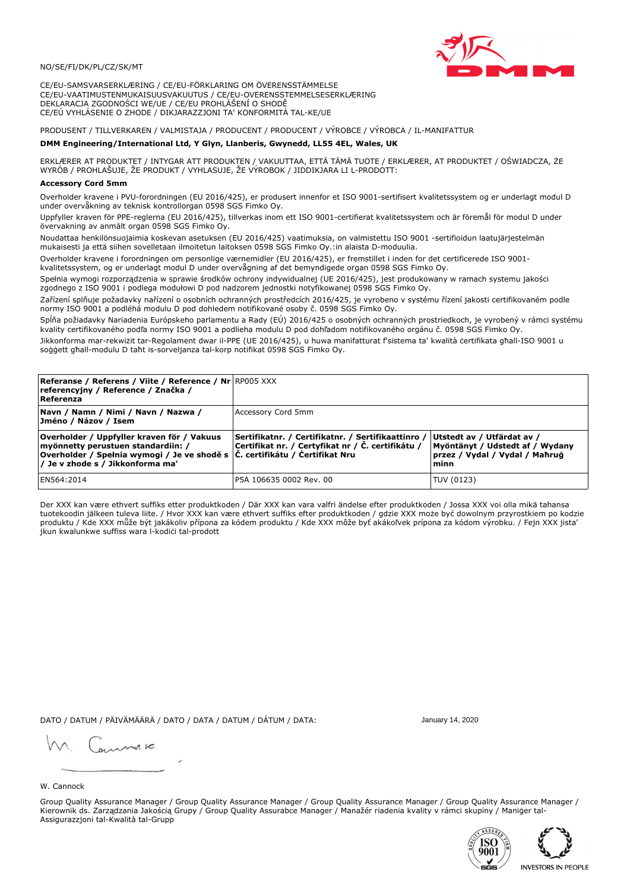

CE/EU-SAMSVARSERKLÆRING / CE/EU-FÖRKLARING OM ÖVERENSSTÄMMELSE CE/EU-VAATIMUSTENMUKAISUUSVAKUUTUS / CE/EU-OVERENSSTEMMELSESERKLÆRING DEKLARACJA ZGODNOŚCI WE/UE / CE/EU PROHLÁŠENÍ O SHODĚ CE/EÚ VYHLÁSENIE O ZHODE / DIKJARAZZJONI TA' KONFORMITÀ TAL-KE/UE

# PRODUSENT / TILLVERKAREN / VALMISTAJA / PRODUCENT / PRODUCENT / VÝROBCE / VÝROBCA / IL-MANIFATTUR

#### DMM Engineering/International Ltd, Y Glyn, Llanberis, Gwynedd, LL55 4EL, Wales, UK

ERKLÆRER AT PRODUKTET / INTYGAR ATT PRODUKTEN / VAKUUTTAA, ETTÄ TÄMÄ TUOTE / ERKLÆRER, AT PRODUKTET / OŚWIADCZA, ŻE<br>WYRÓB / PROHLAŠUJE, ŽE PRODUKT / VYHLASUJE, ŽE VÝROBOK / JIDDIKJARA LI L-PRODOTT:

Overholder kravene i PVU-forordningen (EU 2016/425), er produsert innenfor et ISO 9001-sertifisert kvalitetssystem og er underlagt modul D under overvåkning av teknisk kontrollorgan 0598 SGS Fimko Oy.

Uppfyller kraven för PPE-reglerna (EU 2016/425), tillverkas inom ett ISO 9001-certifierat kvalitetssystem och är föremål för modul D under övervakning av anmält organ 0598 SGS Fimko Oy.

Noudattaa henkilönsuojaimia koskevan asetuksen (EU 2016/425) vaatimuksia, on valmistettu ISO 9001 -sertifioidun laatujärjestelmän mukaisesti ja että siihen sovelletaan ilmoitetun laitoksen 0598 SGS Fimko Oy.:in alaista D-moduulia.

Overholder kravene i forordningen om personlige værnemidler (EU 2016/425), er fremstillet i inden for det certificerede ISO 9001kvalitetssystem, og er underlagt modul D under overvågning af det bemyndigede organ 0598 SGS Fimko Oy.

Spełnia wymogi rozporządzenia w sprawie środków ochrony indywidualnej (UE 2016/425), jest produkowany w ramach systemu jakości zgodnego z ISO 9001 i podlega modułowi D pod nadzorem jednostki notyfikowanej 0598 SGS Fimko Oy.

Zařízení splňuje požadavky nařízení o osobních ochranných prostředcích 2016/425, je vyrobeno v systému řízení jakosti certifikovaném podle normy ISO 9001 a podléhá modulu D pod dohledem notifikované osoby č. 0598 SGS Fimko Oy.

Spĺňa požiadavky Nariadenia Európskeho parlamentu a Rady (EÚ) 2016/425 o osobných ochranných prostriedkoch, je vyrobený v rámci systému kvality certifikovaného podľa normy ISO 9001 a podlieha modulu D pod dohľadom notifikovaného orgánu č. 0598 SGS Fimko Oy.

Jikkonforma mar-rekwiżit tar-Regolament dwar il-PPE (UE 2016/425), u huwa manifatturat f'sistema ta' kwalità certifikata għall-ISO 9001 u soggett għall-modulu D taħt is-sorveljanza tal-korp notifikat 0598 SGS Fimko Oy.

| <b>Referanse / Referens / Viite / Reference / Nr RP005 XXX</b><br>referencyjny / Reference / Značka /<br>Referenza                                                                                                         |                                                                                                         |                                                                                                           |
|----------------------------------------------------------------------------------------------------------------------------------------------------------------------------------------------------------------------------|---------------------------------------------------------------------------------------------------------|-----------------------------------------------------------------------------------------------------------|
| Navn / Namn / Nimi / Navn / Nazwa /<br>Jméno / Názov / Isem                                                                                                                                                                | Accessory Cord 5mm                                                                                      |                                                                                                           |
| Overholder / Uppfyller kraven för / Vakuus<br>myönnetty perustuen standardiin: /<br> Overholder / Spełnia wymogi / Je ve shodě s $ \check{\mathsf{C}}$ . certifikátu / Čertifikat Nru<br> / Je v zhode s / Jikkonforma ma' | Sertifikatnr. / Certifikatnr. / Sertifikaattinro /<br>Certifikat nr. / Certyfikat nr / Č. certifikátu / | Utstedt av / Utfärdat av /<br>Myöntänyt / Udstedt af / Wydany<br> przez / Vvdal / Vvdal / Maħruġ<br>lminn |
| EN564:2014                                                                                                                                                                                                                 | P5A 106635 0002 Rev. 00                                                                                 | TUV (0123)                                                                                                |

Der XXX kan være ethvert suffiks etter produktkoden / Där XXX kan vara valfri ändelse efter produktkoden / Jossa XXX voi olla mikä tahansa tuotekoodin jälkeen tuleva liite. / Hvor XXX kan være ethvert suffiks efter produktkoden / gdzie XXX może być dowolnym przyrostkiem po kodzie produktu / Kde XXX může být jakákoliv přípona za kódem produktu / Kde XXX môže byť akákoľvek prípona za kódom výrobku. / Fejn XXX jista jkun kwalunkwe suffiss wara l-kodici tal-prodott

DATO / DATUM / PÄIVÄMÄÄRÄ / DATO / DATA / DATUM / DÁTUM / DATA:

January 14, 2020

annuic

W. Cannock

Group Quality Assurance Manager / Group Quality Assurance Manager / Group Quality Assurance Manager / Group Quality Assurance Manager / Kierownik ds. Zarządzania Jakością Grupy / Group Quality Assurabce Manager / Manažér riadenia kvality v rámci skupiny / Maniger tal-Assigurazzjoni tal-Kwalità tal-Grupp